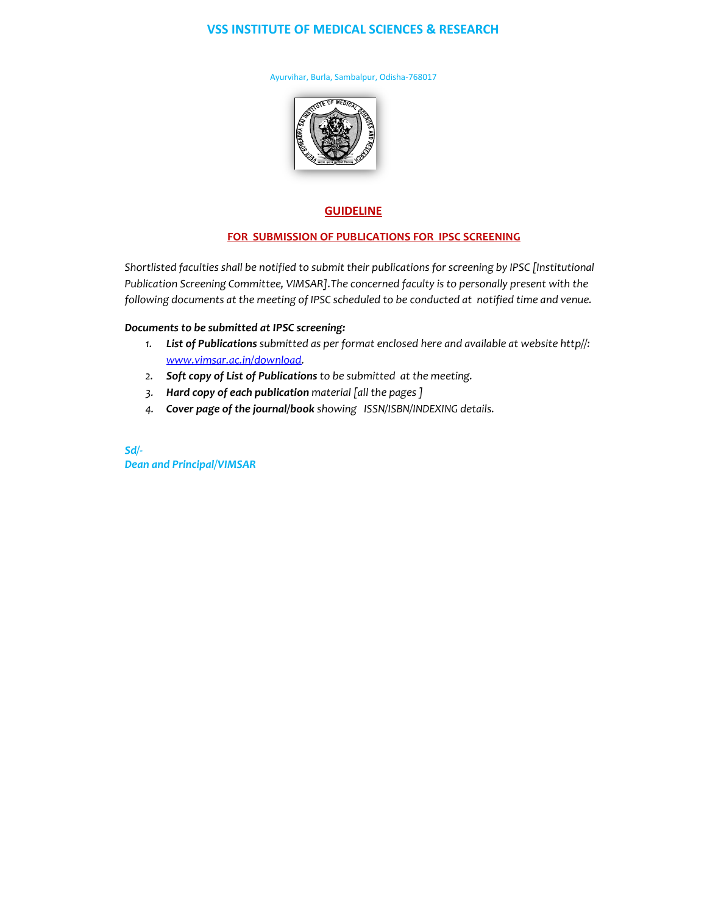## **VSS INSTITUTE OF MEDICAL SCIENCES & RESEARCH**

Ayurvihar, Burla, Sambalpur, Odisha-768017



## **GUIDELINE**

## **FOR SUBMISSION OF PUBLICATIONS FOR IPSC SCREENING**

*Shortlisted faculties shall be notified to submit their publications for screening by IPSC [Institutional Publication Screening Committee, VIMSAR].The concerned faculty is to personally present with the following documents at the meeting of IPSC scheduled to be conducted at notified time and venue.*

## *Documents to be submitted at IPSC screening:*

- *1. List of Publications submitted as per format enclosed here and available at website http//: [www.vimsar.ac.in/download.](http://www.vimsar.ac.in/download)*
- *2. Soft copy of List of Publications to be submitted at the meeting.*
- *3. Hard copy of each publication material [all the pages ]*
- *4. Cover page of the journal/book showing ISSN/ISBN/INDEXING details.*

*Sd/- Dean and Principal/VIMSAR*